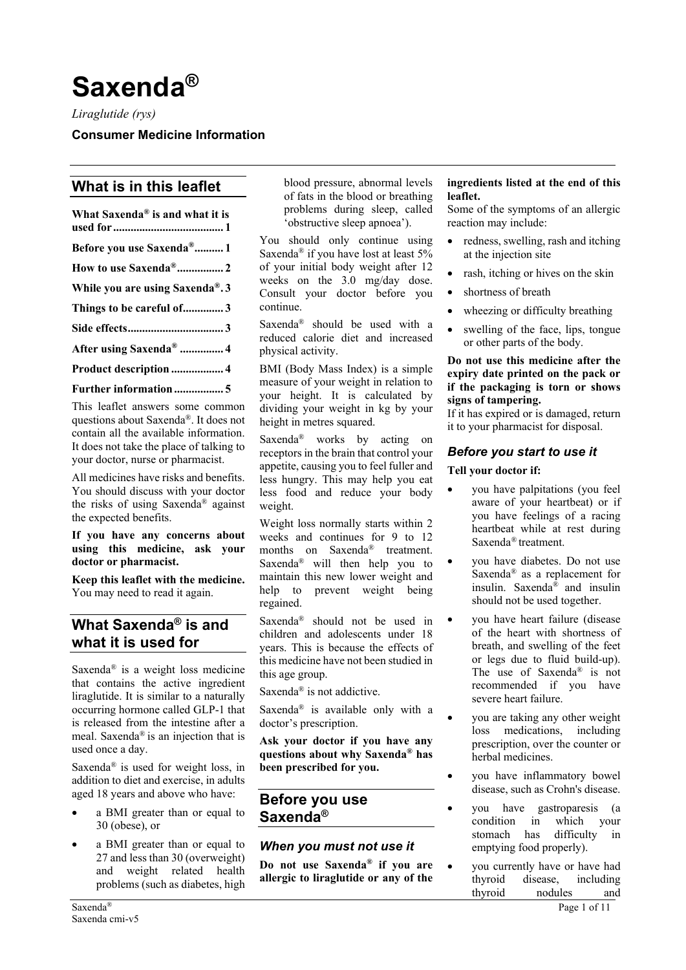# **Saxenda®**

*Liraglutide (rys)*

**Consumer Medicine Information** 

# **What is in this leaflet**

| What Saxenda® is and what it is       |
|---------------------------------------|
| Before you use Saxenda <sup>®</sup> 1 |
| How to use Saxenda <sup>®</sup> 2     |
| While you are using Saxenda®.3        |
| Things to be careful of3              |
|                                       |
| After using Saxenda <sup>®</sup> 4    |
| Product description  4                |

#### **[Further information.................](#page-4-0) 5**

This leaflet answers some common questions about Saxenda®. It does not contain all the available information. It does not take the place of talking to your doctor, nurse or pharmacist.

All medicines have risks and benefits. You should discuss with your doctor the risks of using Saxenda® against the expected benefits.

#### **If you have any concerns about using this medicine, ask your doctor or pharmacist.**

**Keep this leaflet with the medicine.** You may need to read it again.

# <span id="page-0-0"></span>**What Saxenda® is and what it is used for**

Saxenda® is a weight loss medicine that contains the active ingredient liraglutide. It is similar to a naturally occurring hormone called GLP-1 that is released from the intestine after a meal. Saxenda® is an injection that is used once a day.

Saxenda® is used for weight loss, in addition to diet and exercise, in adults aged 18 years and above who have:

- a BMI greater than or equal to 30 (obese), or
- a BMI greater than or equal to 27 and less than 30 (overweight) and weight related health problems (such as diabetes, high

blood pressure, abnormal levels of fats in the blood or breathing problems during sleep, called 'obstructive sleep apnoea').

You should only continue using Saxenda® if you have lost at least 5% of your initial body weight after 12 weeks on the 3.0 mg/day dose. Consult your doctor before you continue.

Saxenda® should be used with a reduced calorie diet and increased physical activity.

BMI (Body Mass Index) is a simple measure of your weight in relation to your height. It is calculated by dividing your weight in kg by your height in metres squared.

Saxenda® works by acting on receptors in the brain that control your appetite, causing you to feel fuller and less hungry. This may help you eat less food and reduce your body weight.

Weight loss normally starts within 2 weeks and continues for 9 to 12 months on Saxenda® treatment. Saxenda® will then help you to maintain this new lower weight and help to prevent weight being regained.

Saxenda® should not be used in children and adolescents under 18 years. This is because the effects of this medicine have not been studied in this age group.

Saxenda® is not addictive.

Saxenda® is available only with a doctor's prescription.

**Ask your doctor if you have any questions about why Saxenda® has been prescribed for you.**

### <span id="page-0-1"></span>**Before you use Saxenda®**

### *When you must not use it*

**Do not use Saxenda® if you are allergic to liraglutide or any of the** 

#### **ingredients listed at the end of this leaflet.**

Some of the symptoms of an allergic reaction may include:

- redness, swelling, rash and itching at the injection site
- rash, itching or hives on the skin
- shortness of breath
- wheezing or difficulty breathing
- swelling of the face, lips, tongue or other parts of the body.

#### **Do not use this medicine after the expiry date printed on the pack or if the packaging is torn or shows signs of tampering.**

If it has expired or is damaged, return it to your pharmacist for disposal.

### *Before you start to use it*

#### **Tell your doctor if:**

- you have palpitations (you feel aware of your heartbeat) or if you have feelings of a racing heartbeat while at rest during Saxenda*®* treatment.
- you have diabetes. Do not use Saxenda® as a replacement for insulin. Saxenda<sup>®</sup> and insulin should not be used together.
- you have heart failure (disease of the heart with shortness of breath, and swelling of the feet or legs due to fluid build-up). The use of Saxenda® is not recommended if you have severe heart failure.
- you are taking any other weight loss medications, including prescription, over the counter or herbal medicines.
- you have inflammatory bowel disease, such as Crohn's disease.
- you have gastroparesis (a condition in which your stomach has difficulty in emptying food properly).
- you currently have or have had thyroid disease, including thyroid nodules and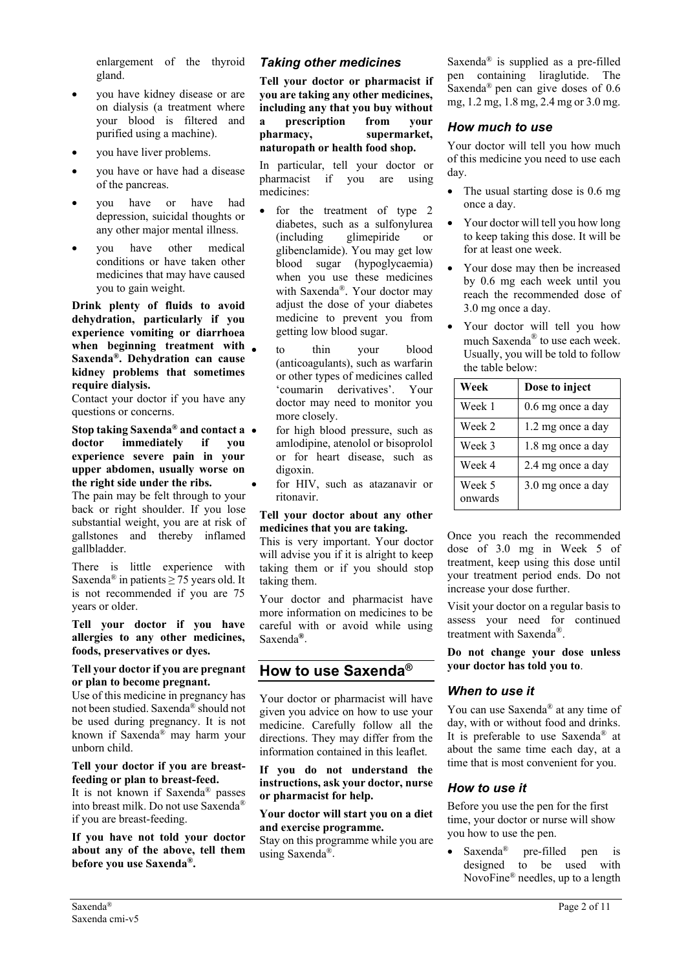enlargement of the thyroid gland.

- you have kidney disease or are on dialysis (a treatment where your blood is filtered and purified using a machine).
- you have liver problems.
- you have or have had a disease of the pancreas.
- you have or have had depression, suicidal thoughts or any other major mental illness.
- you have other medical conditions or have taken other medicines that may have caused you to gain weight.

**Drink plenty of fluids to avoid dehydration, particularly if you experience vomiting or diarrhoea when beginning treatment with Saxenda®. Dehydration can cause kidney problems that sometimes require dialysis.**

Contact your doctor if you have any questions or concerns.

**Stop taking Saxenda® and contact a doctor immediately if you experience severe pain in your upper abdomen, usually worse on the right side under the ribs.** 

The pain may be felt through to your back or right shoulder. If you lose substantial weight, you are at risk of gallstones and thereby inflamed gallbladder.

There is little experience with Saxenda<sup>®</sup> in patients  $\geq$  75 years old. It is not recommended if you are 75 years or older.

**Tell your doctor if you have allergies to any other medicines, foods, preservatives or dyes.**

#### **Tell your doctor if you are pregnant or plan to become pregnant.**

Use of this medicine in pregnancy has not been studied. Saxenda® should not be used during pregnancy. It is not known if Saxenda® may harm your unborn child.

#### **Tell your doctor if you are breastfeeding or plan to breast-feed.**

It is not known if Saxenda® passes into breast milk. Do not use Saxenda® if you are breast-feeding.

**If you have not told your doctor about any of the above, tell them before you use Saxenda®.**

### *Taking other medicines*

**Tell your doctor or pharmacist if you are taking any other medicines, including any that you buy without a prescription from your pharmacy, supermarket, naturopath or health food shop.**

In particular, tell your doctor or pharmacist if you are using medicines:

- for the treatment of type 2 diabetes, such as a sulfonylurea (including glimepiride or glibenclamide). You may get low blood sugar (hypoglycaemia) when you use these medicines with Saxenda®. Your doctor may adjust the dose of your diabetes medicine to prevent you from getting low blood sugar.
- to thin your blood (anticoagulants), such as warfarin or other types of medicines called 'coumarin derivatives'. Your doctor may need to monitor you more closely.
- for high blood pressure, such as amlodipine, atenolol or bisoprolol or for heart disease, such as digoxin.
- for HIV, such as atazanavir or ritonavir.

#### **Tell your doctor about any other medicines that you are taking.**

This is very important. Your doctor will advise you if it is alright to keep taking them or if you should stop taking them.

Your doctor and pharmacist have more information on medicines to be careful with or avoid while using Saxenda**®**.

# <span id="page-1-0"></span>**How to use Saxenda®**

Your doctor or pharmacist will have given you advice on how to use your medicine. Carefully follow all the directions. They may differ from the information contained in this leaflet.

**If you do not understand the instructions, ask your doctor, nurse or pharmacist for help.**

#### **Your doctor will start you on a diet and exercise programme.**

Stay on this programme while you are using Saxenda®.

Saxenda® is supplied as a pre-filled pen containing liraglutide. The Saxenda® pen can give doses of 0.6 mg, 1.2 mg, 1.8 mg, 2.4 mg or 3.0 mg.

### *How much to use*

Your doctor will tell you how much of this medicine you need to use each day.

- The usual starting dose is 0.6 mg once a day.
- Your doctor will tell you how long to keep taking this dose. It will be for at least one week.
- Your dose may then be increased by 0.6 mg each week until you reach the recommended dose of 3.0 mg once a day.
- Your doctor will tell you how much Saxenda® to use each week. Usually, you will be told to follow the table below:

| Week              | Dose to inject    |
|-------------------|-------------------|
| Week 1            | 0.6 mg once a day |
| Week 2            | 1.2 mg once a day |
| Week 3            | 1.8 mg once a day |
| Week 4            | 2.4 mg once a day |
| Week 5<br>onwards | 3.0 mg once a day |

Once you reach the recommended dose of 3.0 mg in Week 5 of treatment, keep using this dose until your treatment period ends. Do not increase your dose further.

Visit your doctor on a regular basis to assess your need for continued treatment with Saxenda®.

**Do not change your dose unless your doctor has told you to**.

### *When to use it*

You can use Saxenda® at any time of day, with or without food and drinks. It is preferable to use Saxenda® at about the same time each day, at a time that is most convenient for you.

### *How to use it*

Before you use the pen for the first time, your doctor or nurse will show you how to use the pen.

Saxenda<sup>®</sup> pre-filled pen is designed to be used with NovoFine® needles, up to a length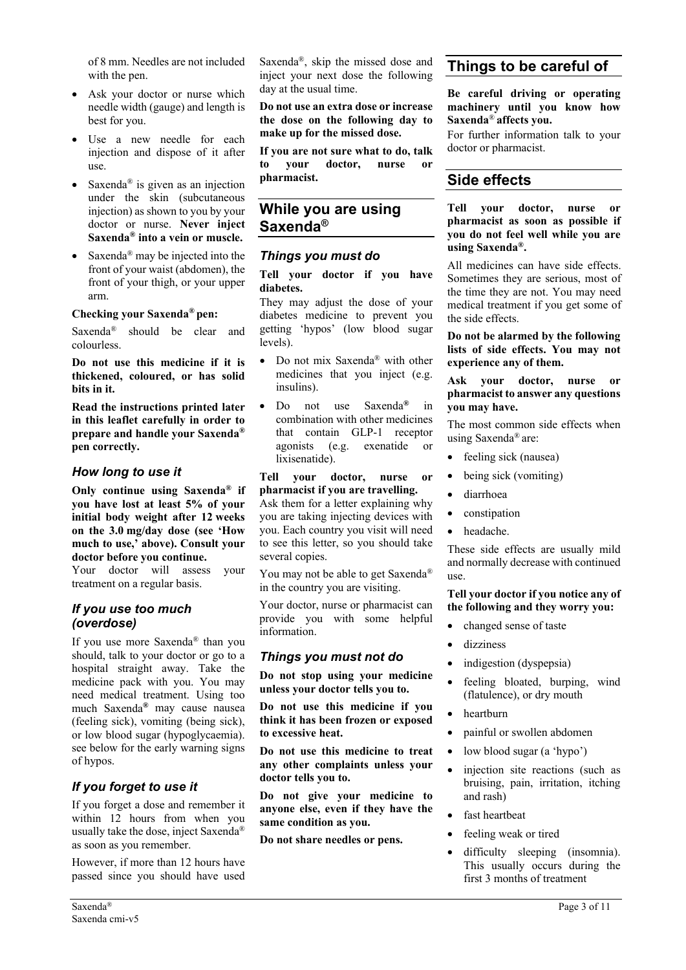of 8 mm. Needles are not included with the pen.

- Ask your doctor or nurse which needle width (gauge) and length is best for you.
- Use a new needle for each injection and dispose of it after use.
- Saxenda<sup>®</sup> is given as an injection under the skin (subcutaneous injection) as shown to you by your doctor or nurse. **Never inject Saxenda® into a vein or muscle.**
- Saxenda<sup>®</sup> may be injected into the front of your waist (abdomen), the front of your thigh, or your upper arm.

#### **Checking your Saxenda® pen:**

Saxenda® should be clear and colourless.

**Do not use this medicine if it is thickened, coloured, or has solid bits in it.**

**Read the instructions printed later in this leaflet carefully in order to prepare and handle your Saxenda® pen correctly.** 

### *How long to use it*

**Only continue using Saxenda® if you have lost at least 5% of your initial body weight after 12 weeks on the 3.0 mg/day dose (see 'How much to use,' above). Consult your doctor before you continue.**

Your doctor will assess your treatment on a regular basis.

### *If you use too much (overdose)*

If you use more Saxenda® than you should, talk to your doctor or go to a hospital straight away. Take the medicine pack with you. You may need medical treatment. Using too much Saxenda**®** may cause nausea (feeling sick), vomiting (being sick), or low blood sugar (hypoglycaemia). see below for the early warning signs of hypos.

### *If you forget to use it*

If you forget a dose and remember it within 12 hours from when you usually take the dose, inject Saxenda® as soon as you remember.

However, if more than 12 hours have passed since you should have used Saxenda®, skip the missed dose and inject your next dose the following day at the usual time.

**Do not use an extra dose or increase the dose on the following day to make up for the missed dose.**

**If you are not sure what to do, talk to your doctor, nurse or pharmacist.**

### <span id="page-2-0"></span>**While you are using Saxenda®**

### *Things you must do*

**Tell your doctor if you have diabetes.** 

They may adjust the dose of your diabetes medicine to prevent you getting 'hypos' (low blood sugar levels).

- Do not mix Saxenda® with other medicines that you inject (e.g. insulins).
- Do not use Saxenda**®** in combination with other medicines that contain GLP-1 receptor agonists (e.g. exenatide or lixisenatide).

#### **Tell your doctor, nurse or pharmacist if you are travelling.**

Ask them for a letter explaining why you are taking injecting devices with you. Each country you visit will need to see this letter, so you should take several copies.

You may not be able to get Saxenda® in the country you are visiting.

Your doctor, nurse or pharmacist can provide you with some helpful information.

### *Things you must not do*

**Do not stop using your medicine unless your doctor tells you to.**

**Do not use this medicine if you think it has been frozen or exposed to excessive heat.**

**Do not use this medicine to treat any other complaints unless your doctor tells you to.**

**Do not give your medicine to anyone else, even if they have the same condition as you.**

**Do not share needles or pens.**

# <span id="page-2-1"></span>**Things to be careful of**

#### **Be careful driving or operating machinery until you know how Saxenda**® **affects you.**

For further information talk to your doctor or pharmacist.

# <span id="page-2-2"></span>**Side effects**

#### **Tell your doctor, nurse or pharmacist as soon as possible if you do not feel well while you are using Saxenda®.**

All medicines can have side effects. Sometimes they are serious, most of the time they are not. You may need medical treatment if you get some of the side effects.

**Do not be alarmed by the following lists of side effects. You may not experience any of them.**

#### **Ask your doctor, nurse or pharmacist to answer any questions you may have.**

The most common side effects when using Saxenda® are:

- feeling sick (nausea)
- being sick (vomiting)
- diarrhoea
- constipation
- headache.

These side effects are usually mild and normally decrease with continued use.

#### **Tell your doctor if you notice any of the following and they worry you:**

- changed sense of taste
	- dizziness
- indigestion (dyspepsia)
- feeling bloated, burping, wind (flatulence), or dry mouth
- heartburn
- painful or swollen abdomen
- low blood sugar (a 'hypo')
- injection site reactions (such as bruising, pain, irritation, itching and rash)
- fast heartbeat
- feeling weak or tired
- difficulty sleeping (insomnia). This usually occurs during the first 3 months of treatment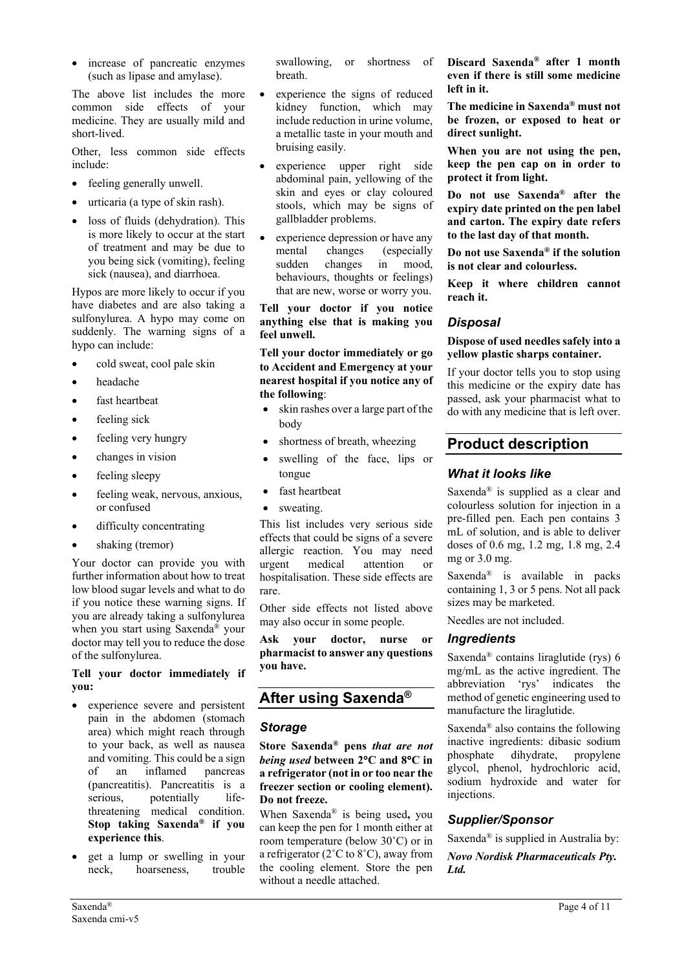increase of pancreatic enzymes (such as lipase and amylase).

The above list includes the more common side effects of your medicine. They are usually mild and short-lived.

Other, less common side effects include:

- feeling generally unwell.
- urticaria (a type of skin rash).
- loss of fluids (dehydration). This is more likely to occur at the start of treatment and may be due to you being sick (vomiting), feeling sick (nausea), and diarrhoea.

Hypos are more likely to occur if you have diabetes and are also taking a sulfonylurea. A hypo may come on suddenly. The warning signs of a hypo can include:

- cold sweat, cool pale skin
- headache
- fast heartbeat
- feeling sick
- feeling very hungry
- changes in vision
- feeling sleepy
- feeling weak, nervous, anxious, or confused
- difficulty concentrating
- shaking (tremor)

Your doctor can provide you with further information about how to treat low blood sugar levels and what to do if you notice these warning signs. If you are already taking a sulfonylurea when you start using Saxenda® your doctor may tell you to reduce the dose of the sulfonylurea.

#### **Tell your doctor immediately if you:**

- experience severe and persistent pain in the abdomen (stomach area) which might reach through to your back, as well as nausea and vomiting. This could be a sign of an inflamed pancreas (pancreatitis). Pancreatitis is a serious, potentially lifethreatening medical condition. **Stop taking Saxenda® if you experience this**.
- get a lump or swelling in your neck, hoarseness, trouble

swallowing, or shortness of breath.

- experience the signs of reduced kidney function, which may include reduction in urine volume, a metallic taste in your mouth and bruising easily.
- experience upper right side abdominal pain, yellowing of the skin and eyes or clay coloured stools, which may be signs of gallbladder problems.
- experience depression or have any mental changes (especially sudden changes in mood, behaviours, thoughts or feelings) that are new, worse or worry you.

**Tell your doctor if you notice anything else that is making you feel unwell.**

**Tell your doctor immediately or go to Accident and Emergency at your nearest hospital if you notice any of the following**:

- skin rashes over a large part of the body
- shortness of breath, wheezing
- swelling of the face, lips or tongue
- fast heartbeat
- sweating.

This list includes very serious side effects that could be signs of a severe allergic reaction. You may need<br>urgent medical attention or urgent medical attention or hospitalisation. These side effects are rare.

Other side effects not listed above may also occur in some people.

**Ask your doctor, nurse or pharmacist to answer any questions you have.**

# <span id="page-3-0"></span>**After using Saxenda®**

### *Storage*

**Store Saxenda® pens** *that are not being used* **between 2**°**C and 8**°**C in a refrigerator (not in or too near the freezer section or cooling element). Do not freeze.**

When Saxenda® is being used**,** you can keep the pen for 1 month either at room temperature (below 30˚C) or in a refrigerator (2˚C to 8˚C), away from the cooling element. Store the pen without a needle attached.

**Discard Saxenda® after 1 month even if there is still some medicine left in it.**

**The medicine in Saxenda® must not be frozen, or exposed to heat or direct sunlight.**

**When you are not using the pen, keep the pen cap on in order to protect it from light.**

**Do not use Saxenda® after the expiry date printed on the pen label and carton. The expiry date refers to the last day of that month.**

**Do not use Saxenda® if the solution is not clear and colourless.**

**Keep it where children cannot reach it.**

### *Disposal*

#### **Dispose of used needles safely into a yellow plastic sharps container.**

If your doctor tells you to stop using this medicine or the expiry date has passed, ask your pharmacist what to do with any medicine that is left over.

# <span id="page-3-1"></span>**Product description**

### *What it looks like*

Saxenda® is supplied as a clear and colourless solution for injection in a pre-filled pen. Each pen contains 3 mL of solution, and is able to deliver doses of 0.6 mg, 1.2 mg, 1.8 mg, 2.4 mg or 3.0 mg.

Saxenda® is available in packs containing 1, 3 or 5 pens. Not all pack sizes may be marketed.

Needles are not included.

### *Ingredients*

Saxenda® contains liraglutide (rys) 6 mg/mL as the active ingredient. The abbreviation 'rys' indicates the method of genetic engineering used to manufacture the liraglutide.

Saxenda® also contains the following inactive ingredients: dibasic sodium phosphate dihydrate, propylene glycol, phenol, hydrochloric acid, sodium hydroxide and water for injections.

### *Supplier/Sponsor*

Saxenda® is supplied in Australia by:

*Novo Nordisk Pharmaceuticals Pty. Ltd.*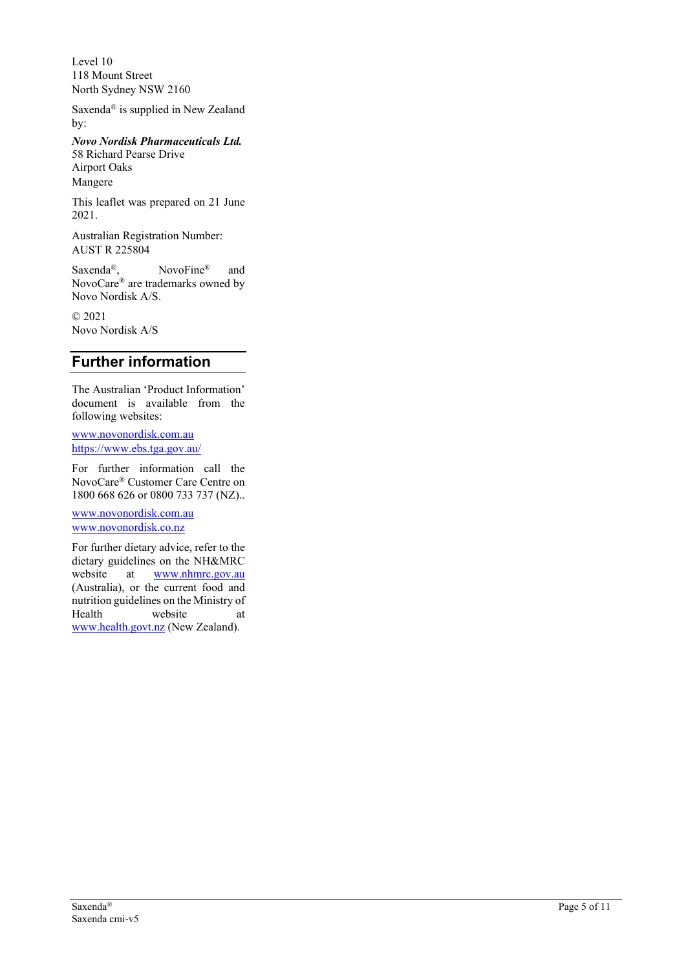Level 10 118 Mount Street North Sydney NSW 2160

Saxenda ® is supplied in New Zealand by:

*Novo Nordisk Pharmaceuticals Ltd.* 58 Richard Pearse Drive Airport Oaks Mangere

This leaflet was prepared on 21 June 2021 .

Australian Registration Number: AUST R 225804

Saxenda<sup>®</sup>, NovoFine® and NovoCare ® are trademarks owned by Novo Nordisk A/S.

© 2021 Novo Nordisk A/S

# <span id="page-4-0"></span>**Further information**

The Australian 'Product Information' document is available from the following websites:

[www.novonordisk.com.au](file://corp.novocorp.net/aunr/039-2000/Reg/REGFILES/Diabetes/GLP-1/Liraglutide/eCTD/e001913%20(Saxenda)/0006_2017-11-06_Cat%201_LEADER/CMI/www.novonordisk.com.au) <https://www.ebs.tga.gov.au/>

For further information call the NovoCare ® Customer Care Centre on 1800 668 626 or 0800 733 737 (NZ). .

[www.novonordisk.com.au](http://www.novonordisk.com.au/) [www.novonordisk.co.nz](http://www.novonordisk.co.nz/)

For further dietary advice, refer to the dietary guidelines on the NH&MRC website at [www.nhmrc.gov.au](http://www.nhmrc.gov.au/) (Australia), or the current food and nutrition guidelines on the Ministry of Health website at [www.health.govt.nz](http://www.health.govt.nz/) (New Zealand).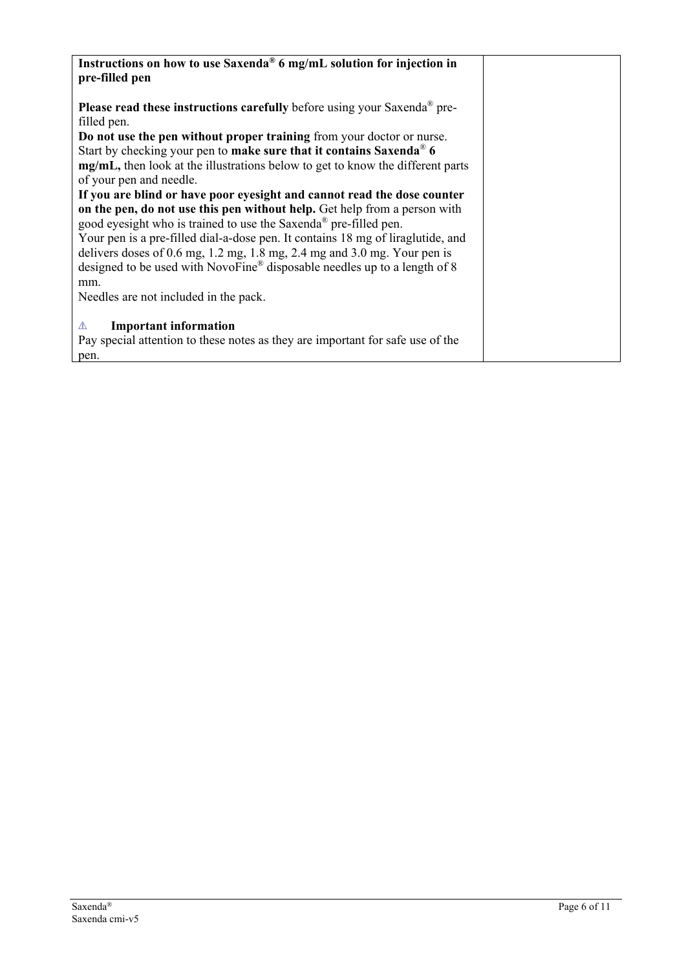| Instructions on how to use Saxenda <sup>®</sup> 6 mg/mL solution for injection in           |
|---------------------------------------------------------------------------------------------|
| pre-filled pen                                                                              |
|                                                                                             |
|                                                                                             |
| <b>Please read these instructions carefully</b> before using your Saxenda <sup>®</sup> pre- |
| filled pen.                                                                                 |
| Do not use the pen without proper training from your doctor or nurse.                       |
| Start by checking your pen to make sure that it contains Saxenda® 6                         |
| mg/mL, then look at the illustrations below to get to know the different parts              |
| of your pen and needle.                                                                     |
| If you are blind or have poor eyesight and cannot read the dose counter                     |
| on the pen, do not use this pen without help. Get help from a person with                   |
| good eyesight who is trained to use the Saxenda® pre-filled pen.                            |
| Your pen is a pre-filled dial-a-dose pen. It contains 18 mg of liraglutide, and             |
|                                                                                             |
| delivers doses of $0.6$ mg, $1.2$ mg, $1.8$ mg, $2.4$ mg and $3.0$ mg. Your pen is          |
| designed to be used with NovoFine® disposable needles up to a length of 8                   |
| mm.                                                                                         |
| Needles are not included in the pack.                                                       |
|                                                                                             |
| <b>Important information</b><br>⚠                                                           |
| Pay special attention to these notes as they are important for safe use of the              |
| pen.                                                                                        |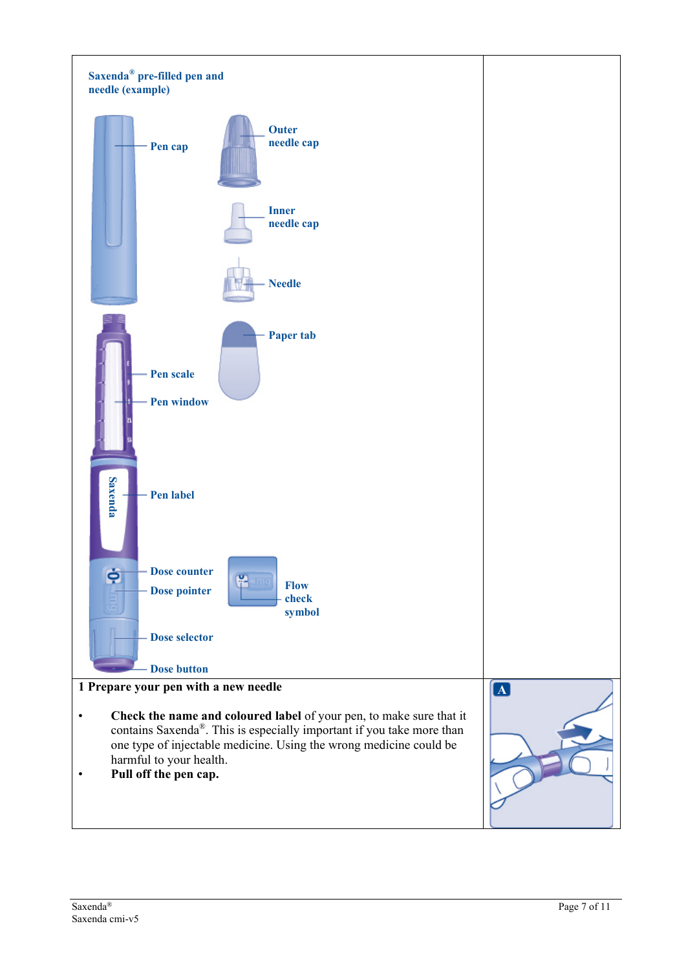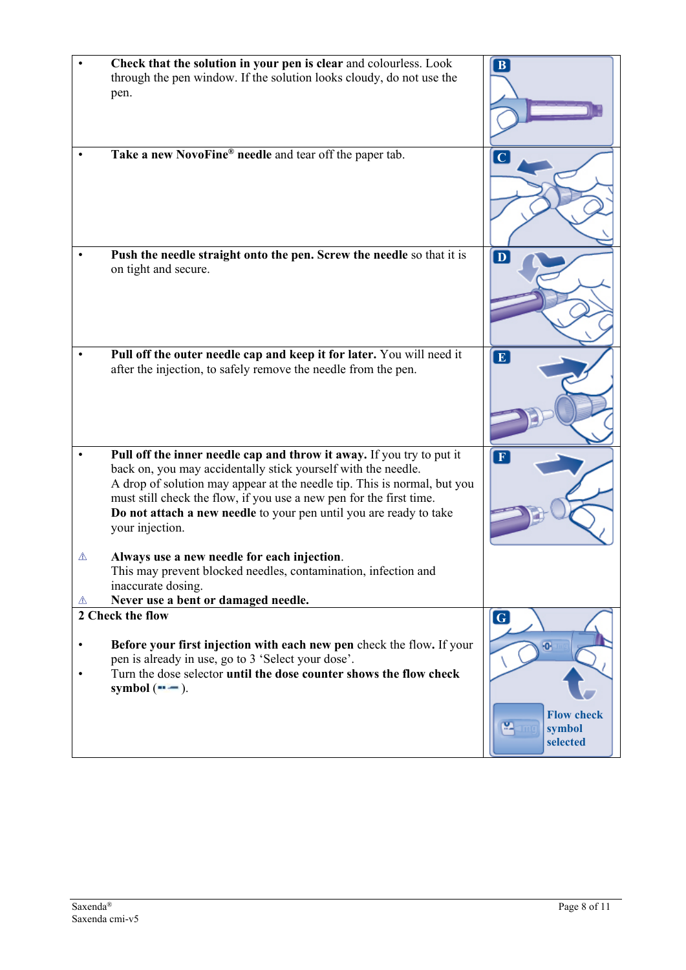|                        | Check that the solution in your pen is clear and colourless. Look<br>through the pen window. If the solution looks cloudy, do not use the<br>pen.                                                                                                                                                                                                                                  | $\mathbf{B}$                                                              |
|------------------------|------------------------------------------------------------------------------------------------------------------------------------------------------------------------------------------------------------------------------------------------------------------------------------------------------------------------------------------------------------------------------------|---------------------------------------------------------------------------|
| $\bullet$              | Take a new NovoFine® needle and tear off the paper tab.                                                                                                                                                                                                                                                                                                                            |                                                                           |
|                        | Push the needle straight onto the pen. Screw the needle so that it is<br>on tight and secure.                                                                                                                                                                                                                                                                                      | $\overline{\mathbf{D}}$                                                   |
|                        | Pull off the outer needle cap and keep it for later. You will need it<br>after the injection, to safely remove the needle from the pen.                                                                                                                                                                                                                                            | E                                                                         |
|                        | Pull off the inner needle cap and throw it away. If you try to put it<br>back on, you may accidentally stick yourself with the needle.<br>A drop of solution may appear at the needle tip. This is normal, but you<br>must still check the flow, if you use a new pen for the first time.<br>Do not attach a new needle to your pen until you are ready to take<br>your injection. | F                                                                         |
| ⚠<br>⚠                 | Always use a new needle for each injection.<br>This may prevent blocked needles, contamination, infection and<br>inaccurate dosing.<br>Never use a bent or damaged needle.                                                                                                                                                                                                         |                                                                           |
|                        | 2 Check the flow                                                                                                                                                                                                                                                                                                                                                                   | $\boxed{\textbf{G}}$                                                      |
| $\bullet$<br>$\bullet$ | Before your first injection with each new pen check the flow. If your<br>pen is already in use, go to 3 'Select your dose'.<br>Turn the dose selector until the dose counter shows the flow check<br>symbol $($ --- $)$ .                                                                                                                                                          | $\overline{\mathbf{0}}$<br><b>Flow check</b><br>יִי<br>symbol<br>selected |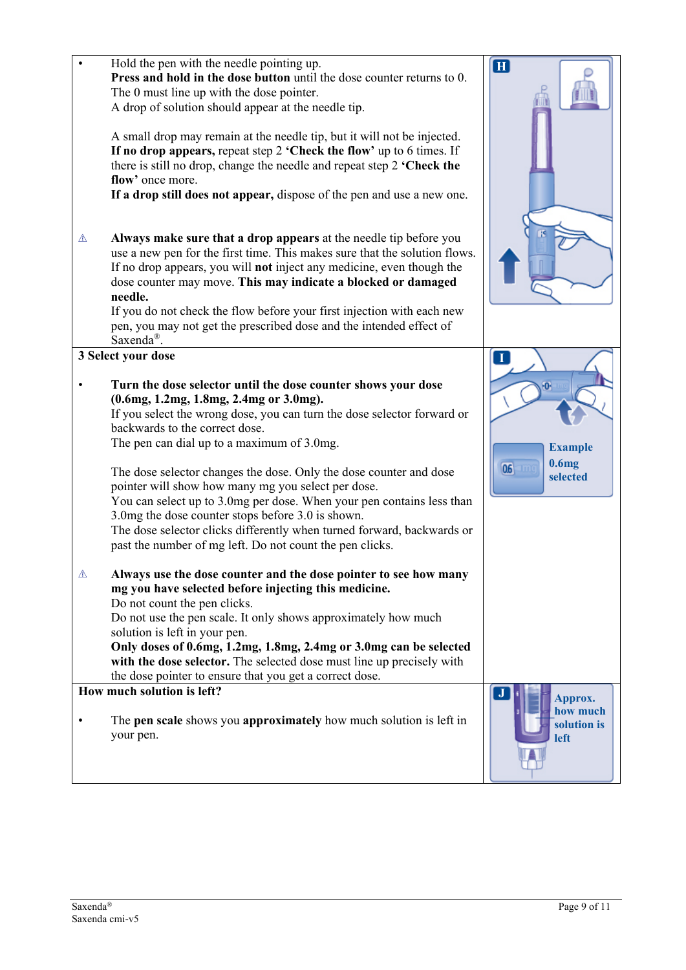| Hold the pen with the needle pointing up.<br>Press and hold in the dose button until the dose counter returns to 0.<br>The 0 must line up with the dose pointer.<br>A drop of solution should appear at the needle tip.<br>A small drop may remain at the needle tip, but it will not be injected.<br>If no drop appears, repeat step 2 'Check the flow' up to 6 times. If<br>there is still no drop, change the needle and repeat step 2 'Check the<br>flow' once more.<br>If a drop still does not appear, dispose of the pen and use a new one.                                                                                                                                       | $\mathbf{H}$                                               |
|------------------------------------------------------------------------------------------------------------------------------------------------------------------------------------------------------------------------------------------------------------------------------------------------------------------------------------------------------------------------------------------------------------------------------------------------------------------------------------------------------------------------------------------------------------------------------------------------------------------------------------------------------------------------------------------|------------------------------------------------------------|
| Always make sure that a drop appears at the needle tip before you<br>⚠<br>use a new pen for the first time. This makes sure that the solution flows.<br>If no drop appears, you will not inject any medicine, even though the<br>dose counter may move. This may indicate a blocked or damaged<br>needle.<br>If you do not check the flow before your first injection with each new<br>pen, you may not get the prescribed dose and the intended effect of<br>Saxenda <sup>®</sup> .                                                                                                                                                                                                     |                                                            |
| 3 Select your dose<br>Turn the dose selector until the dose counter shows your dose<br>(0.6mg, 1.2mg, 1.8mg, 2.4mg or 3.0mg).<br>If you select the wrong dose, you can turn the dose selector forward or<br>backwards to the correct dose.<br>The pen can dial up to a maximum of 3.0mg.<br>The dose selector changes the dose. Only the dose counter and dose<br>pointer will show how many mg you select per dose.<br>You can select up to 3.0mg per dose. When your pen contains less than<br>3.0mg the dose counter stops before 3.0 is shown.<br>The dose selector clicks differently when turned forward, backwards or<br>past the number of mg left. Do not count the pen clicks. | П<br><b>Example</b><br>0.6 <sub>mg</sub><br>06<br>selected |
| Always use the dose counter and the dose pointer to see how many<br>⚠<br>mg you have selected before injecting this medicine.<br>Do not count the pen clicks.<br>Do not use the pen scale. It only shows approximately how much<br>solution is left in your pen.<br>Only doses of 0.6mg, 1.2mg, 1.8mg, 2.4mg or 3.0mg can be selected<br>with the dose selector. The selected dose must line up precisely with<br>the dose pointer to ensure that you get a correct dose.                                                                                                                                                                                                                |                                                            |
| How much solution is left?<br>The pen scale shows you approximately how much solution is left in<br>$\bullet$<br>your pen.                                                                                                                                                                                                                                                                                                                                                                                                                                                                                                                                                               | $\mathbf{J}$<br>Approx.<br>how much<br>solution is<br>left |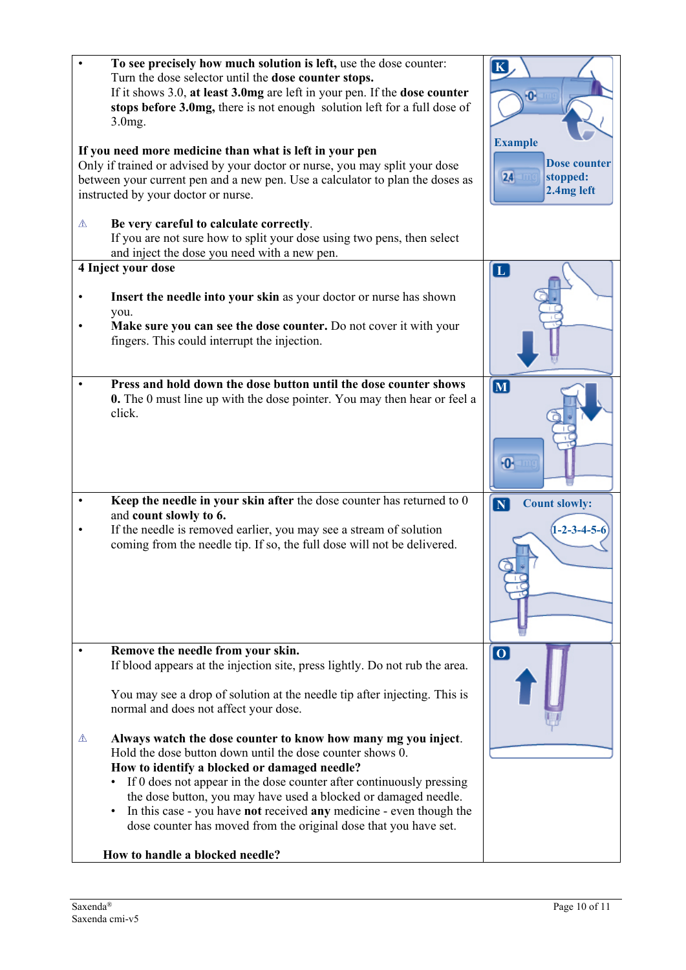| $3.0$ mg.                                                                                                                                                                                                                                                      | To see precisely how much solution is left, use the dose counter:<br>Turn the dose selector until the dose counter stops.<br>If it shows 3.0, at least 3.0mg are left in your pen. If the dose counter<br>stops before 3.0mg, there is not enough solution left for a full dose of                                                                                                                                                                               | $\vert K \vert$<br>$\overline{\mathbf{0}}$                                |
|----------------------------------------------------------------------------------------------------------------------------------------------------------------------------------------------------------------------------------------------------------------|------------------------------------------------------------------------------------------------------------------------------------------------------------------------------------------------------------------------------------------------------------------------------------------------------------------------------------------------------------------------------------------------------------------------------------------------------------------|---------------------------------------------------------------------------|
| If you need more medicine than what is left in your pen<br>Only if trained or advised by your doctor or nurse, you may split your dose<br>between your current pen and a new pen. Use a calculator to plan the doses as<br>instructed by your doctor or nurse. |                                                                                                                                                                                                                                                                                                                                                                                                                                                                  | <b>Example</b><br><b>Dose counter</b><br>24<br>stopped:<br>$2.4mg$ left   |
| ⚠<br>Be very careful to calculate correctly.<br>and inject the dose you need with a new pen.                                                                                                                                                                   | If you are not sure how to split your dose using two pens, then select                                                                                                                                                                                                                                                                                                                                                                                           |                                                                           |
| 4 Inject your dose<br>you.<br>fingers. This could interrupt the injection.                                                                                                                                                                                     | Insert the needle into your skin as your doctor or nurse has shown<br>Make sure you can see the dose counter. Do not cover it with your                                                                                                                                                                                                                                                                                                                          | $\overline{\mathbf{L}}$                                                   |
| click.                                                                                                                                                                                                                                                         | Press and hold down the dose button until the dose counter shows<br>0. The 0 must line up with the dose pointer. You may then hear or feel a                                                                                                                                                                                                                                                                                                                     | $\overline{\mathbf{M}}$<br>$\overline{\mathbf{0}}$                        |
| $\bullet$<br>and count slowly to 6.                                                                                                                                                                                                                            | Keep the needle in your skin after the dose counter has returned to 0<br>If the needle is removed earlier, you may see a stream of solution<br>coming from the needle tip. If so, the full dose will not be delivered.                                                                                                                                                                                                                                           | $\boxed{\mathbf{N}}$<br><b>Count slowly:</b><br>$(1 - 2 - 3 - 4 - 5 - 6)$ |
| Remove the needle from your skin.                                                                                                                                                                                                                              | If blood appears at the injection site, press lightly. Do not rub the area.<br>You may see a drop of solution at the needle tip after injecting. This is                                                                                                                                                                                                                                                                                                         | $\overline{10}$                                                           |
| normal and does not affect your dose.<br>⚠<br>How to handle a blocked needle?                                                                                                                                                                                  | Always watch the dose counter to know how many mg you inject.<br>Hold the dose button down until the dose counter shows 0.<br>How to identify a blocked or damaged needle?<br>If 0 does not appear in the dose counter after continuously pressing<br>the dose button, you may have used a blocked or damaged needle.<br>In this case - you have not received any medicine - even though the<br>dose counter has moved from the original dose that you have set. |                                                                           |